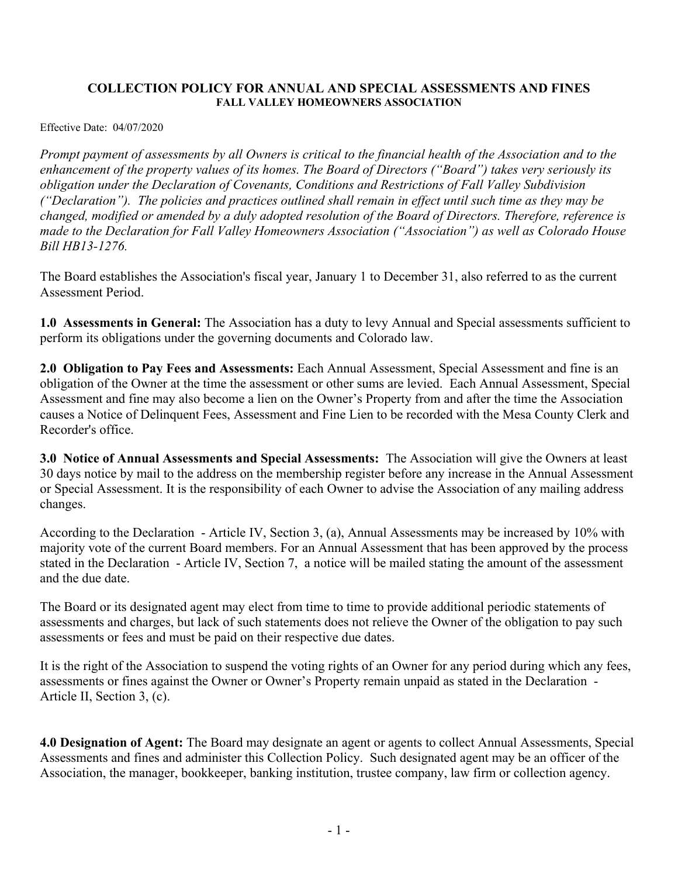## **COLLECTION POLICY FOR ANNUAL AND SPECIAL ASSESSMENTS AND FINES FALL VALLEY HOMEOWNERS ASSOCIATION**

Effective Date: 04/07/2020

*Prompt payment of assessments by all Owners is critical to the financial health of the Association and to the enhancement of the property values of its homes. The Board of Directors ("Board") takes very seriously its obligation under the Declaration of Covenants, Conditions and Restrictions of Fall Valley Subdivision ("Declaration"). The policies and practices outlined shall remain in effect until such time as they may be changed, modified or amended by a duly adopted resolution of the Board of Directors. Therefore, reference is made to the Declaration for Fall Valley Homeowners Association ("Association") as well as Colorado House Bill HB13-1276.*

The Board establishes the Association's fiscal year, January 1 to December 31, also referred to as the current Assessment Period.

**1.0 Assessments in General:** The Association has a duty to levy Annual and Special assessments sufficient to perform its obligations under the governing documents and Colorado law.

**2.0 Obligation to Pay Fees and Assessments:** Each Annual Assessment, Special Assessment and fine is an obligation of the Owner at the time the assessment or other sums are levied. Each Annual Assessment, Special Assessment and fine may also become a lien on the Owner's Property from and after the time the Association causes a Notice of Delinquent Fees, Assessment and Fine Lien to be recorded with the Mesa County Clerk and Recorder's office.

**3.0 Notice of Annual Assessments and Special Assessments:** The Association will give the Owners at least 30 days notice by mail to the address on the membership register before any increase in the Annual Assessment or Special Assessment. It is the responsibility of each Owner to advise the Association of any mailing address changes.

According to the Declaration - Article IV, Section 3, (a), Annual Assessments may be increased by 10% with majority vote of the current Board members. For an Annual Assessment that has been approved by the process stated in the Declaration - Article IV, Section 7, a notice will be mailed stating the amount of the assessment and the due date.

The Board or its designated agent may elect from time to time to provide additional periodic statements of assessments and charges, but lack of such statements does not relieve the Owner of the obligation to pay such assessments or fees and must be paid on their respective due dates.

It is the right of the Association to suspend the voting rights of an Owner for any period during which any fees, assessments or fines against the Owner or Owner's Property remain unpaid as stated in the Declaration - Article II, Section 3, (c).

**4.0 Designation of Agent:** The Board may designate an agent or agents to collect Annual Assessments, Special Assessments and fines and administer this Collection Policy. Such designated agent may be an officer of the Association, the manager, bookkeeper, banking institution, trustee company, law firm or collection agency.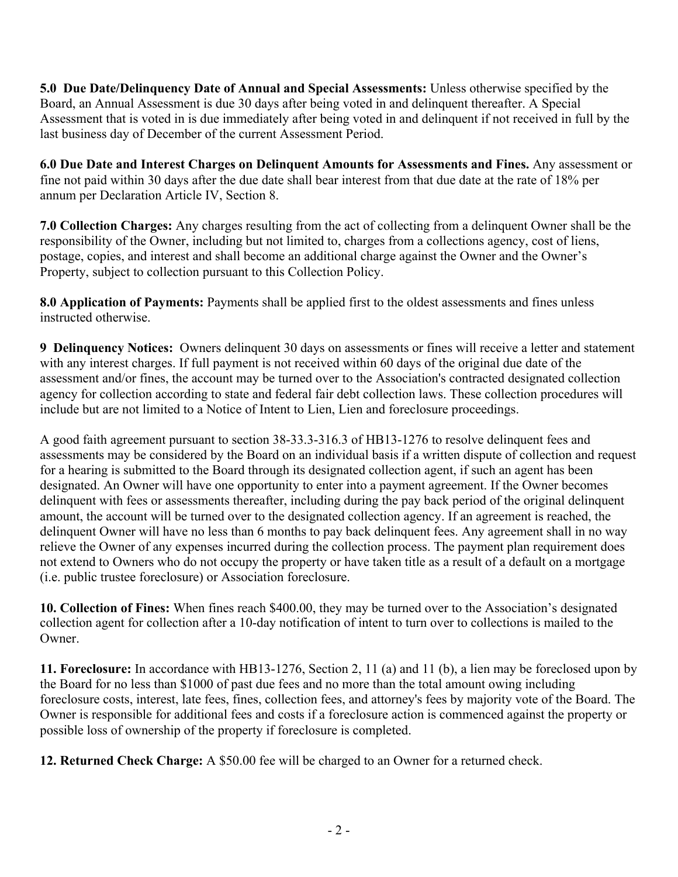**5.0 Due Date/Delinquency Date of Annual and Special Assessments:** Unless otherwise specified by the Board, an Annual Assessment is due 30 days after being voted in and delinquent thereafter. A Special Assessment that is voted in is due immediately after being voted in and delinquent if not received in full by the last business day of December of the current Assessment Period.

**6.0 Due Date and Interest Charges on Delinquent Amounts for Assessments and Fines.** Any assessment or fine not paid within 30 days after the due date shall bear interest from that due date at the rate of 18% per annum per Declaration Article IV, Section 8.

**7.0 Collection Charges:** Any charges resulting from the act of collecting from a delinquent Owner shall be the responsibility of the Owner, including but not limited to, charges from a collections agency, cost of liens, postage, copies, and interest and shall become an additional charge against the Owner and the Owner's Property, subject to collection pursuant to this Collection Policy.

**8.0 Application of Payments:** Payments shall be applied first to the oldest assessments and fines unless instructed otherwise.

**9 Delinquency Notices:** Owners delinquent 30 days on assessments or fines will receive a letter and statement with any interest charges. If full payment is not received within 60 days of the original due date of the assessment and/or fines, the account may be turned over to the Association's contracted designated collection agency for collection according to state and federal fair debt collection laws. These collection procedures will include but are not limited to a Notice of Intent to Lien, Lien and foreclosure proceedings.

A good faith agreement pursuant to section 38-33.3-316.3 of HB13-1276 to resolve delinquent fees and assessments may be considered by the Board on an individual basis if a written dispute of collection and request for a hearing is submitted to the Board through its designated collection agent, if such an agent has been designated. An Owner will have one opportunity to enter into a payment agreement. If the Owner becomes delinquent with fees or assessments thereafter, including during the pay back period of the original delinquent amount, the account will be turned over to the designated collection agency. If an agreement is reached, the delinquent Owner will have no less than 6 months to pay back delinquent fees. Any agreement shall in no way relieve the Owner of any expenses incurred during the collection process. The payment plan requirement does not extend to Owners who do not occupy the property or have taken title as a result of a default on a mortgage (i.e. public trustee foreclosure) or Association foreclosure.

**10. Collection of Fines:** When fines reach \$400.00, they may be turned over to the Association's designated collection agent for collection after a 10-day notification of intent to turn over to collections is mailed to the Owner.

**11. Foreclosure:** In accordance with HB13-1276, Section 2, 11 (a) and 11 (b), a lien may be foreclosed upon by the Board for no less than \$1000 of past due fees and no more than the total amount owing including foreclosure costs, interest, late fees, fines, collection fees, and attorney's fees by majority vote of the Board. The Owner is responsible for additional fees and costs if a foreclosure action is commenced against the property or possible loss of ownership of the property if foreclosure is completed.

**12. Returned Check Charge:** A \$50.00 fee will be charged to an Owner for a returned check.